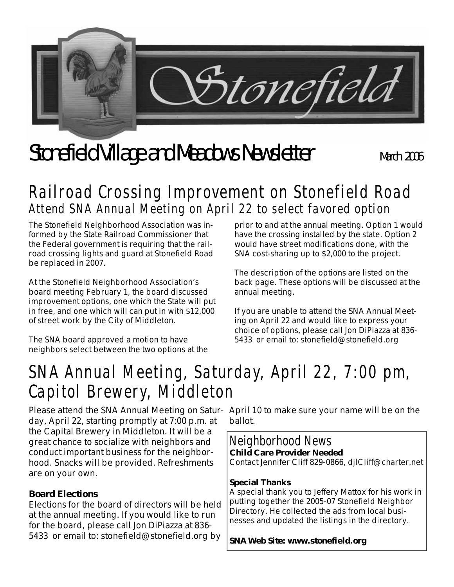

# Stonefield Village and Meadows Newsletter March 2006

## **Railroad Crossing Improvement on Stonefield Road Attend SNA Annual Meeting on April 22 to select favored option**

The Stonefield Neighborhood Association was informed by the State Railroad Commissioner that the Federal government is requiring that the railroad crossing lights and guard at Stonefield Road be replaced in 2007.

At the Stonefield Neighborhood Association's board meeting February 1, the board discussed improvement options, one which the State will put in free, and one which will can put in with \$12,000 of street work by the City of Middleton.

The SNA board approved a motion to have neighbors select between the two options at the prior to and at the annual meeting. Option 1 would have the crossing installed by the state. Option 2 would have street modifications done, with the SNA cost-sharing up to \$2,000 to the project.

The description of the options are listed on the back page. These options will be discussed at the annual meeting.

If you are unable to attend the SNA Annual Meeting on April 22 and would like to express your choice of options, please call Jon DiPiazza at 836- 5433 or email to: stonefield@stonefield.org

## **SNA Annual Meeting, Saturday, April 22, 7:00 pm, Capitol Brewery, Middleton**

day, April 22, starting promptly at 7:00 p.m. at the Capital Brewery in Middleton. It will be a great chance to socialize with neighbors and conduct important business for the neighborhood. Snacks will be provided. Refreshments are on your own.

#### **Board Elections**

Elections for the board of directors will be held at the annual meeting. If you would like to run for the board, please call Jon DiPiazza at 836- 5433 or email to: stonefield@stonefield.org by

Please attend the SNA Annual Meeting on Satur-April 10 to make sure your name will be on the ballot.

### **Neighborhood News**

**Child Care Provider Needed**  Contact Jennifer Cliff 829-0866, djlCliff@charter.net

#### **Special Thanks**

A special thank you to Jeffery Mattox for his work in putting together the 2005-07 Stonefield Neighbor Directory. He collected the ads from local businesses and updated the listings in the directory.

**SNA Web Site: www.stonefield.org**